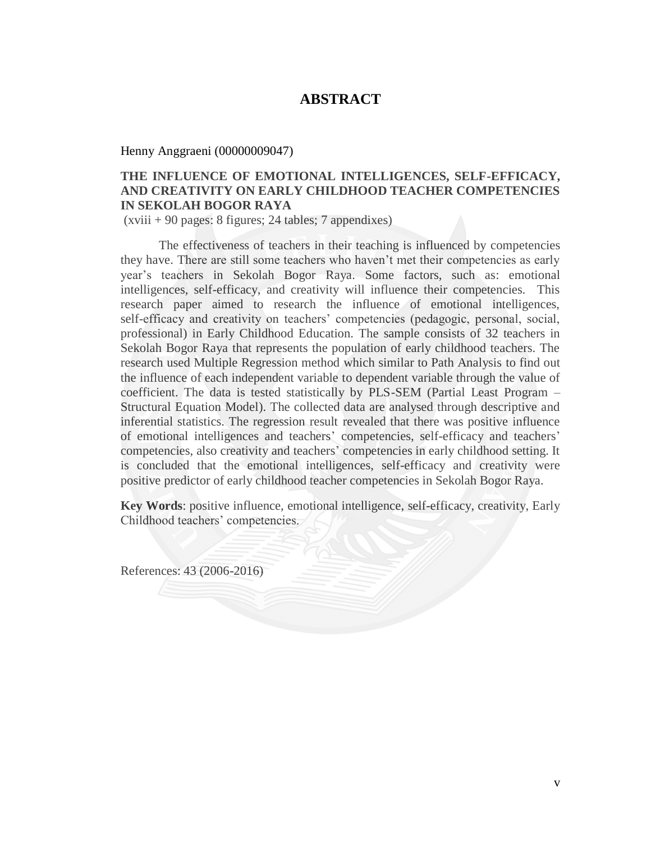## **ABSTRACT**

Henny Anggraeni (00000009047)

## **THE INFLUENCE OF EMOTIONAL INTELLIGENCES, SELF-EFFICACY, AND CREATIVITY ON EARLY CHILDHOOD TEACHER COMPETENCIES IN SEKOLAH BOGOR RAYA**

(xviii + 90 pages: 8 figures; 24 tables; 7 appendixes)

The effectiveness of teachers in their teaching is influenced by competencies they have. There are still some teachers who haven't met their competencies as early year's teachers in Sekolah Bogor Raya. Some factors, such as: emotional intelligences, self-efficacy, and creativity will influence their competencies. This research paper aimed to research the influence of emotional intelligences, self-efficacy and creativity on teachers' competencies (pedagogic, personal, social, professional) in Early Childhood Education. The sample consists of 32 teachers in Sekolah Bogor Raya that represents the population of early childhood teachers. The research used Multiple Regression method which similar to Path Analysis to find out the influence of each independent variable to dependent variable through the value of coefficient. The data is tested statistically by PLS-SEM (Partial Least Program – Structural Equation Model). The collected data are analysed through descriptive and inferential statistics. The regression result revealed that there was positive influence of emotional intelligences and teachers' competencies, self-efficacy and teachers' competencies, also creativity and teachers' competencies in early childhood setting. It is concluded that the emotional intelligences, self-efficacy and creativity were positive predictor of early childhood teacher competencies in Sekolah Bogor Raya.

**Key Words**: positive influence, emotional intelligence, self-efficacy, creativity, Early Childhood teachers' competencies.

References: 43 (2006-2016)